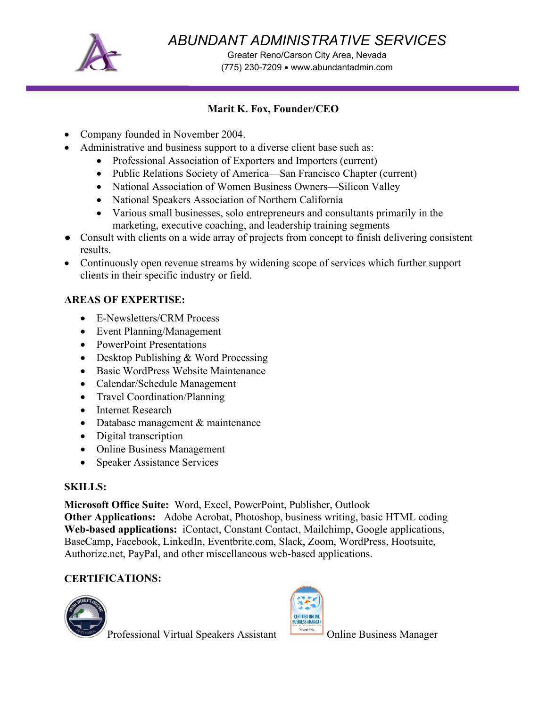

*ABUNDANT ADMINISTRATIVE SERVICES* 

Greater Reno/Carson City Area, Nevada (775) 230-7209 • www.abundantadmin.com

#### **Marit K. Fox, Founder/CEO**

- Company founded in November 2004.
- Administrative and business support to a diverse client base such as:
	- Professional Association of Exporters and Importers (current)
	- Public Relations Society of America—San Francisco Chapter (current)
	- National Association of Women Business Owners—Silicon Valley
	- National Speakers Association of Northern California
	- Various small businesses, solo entrepreneurs and consultants primarily in the marketing, executive coaching, and leadership training segments
- Consult with clients on a wide array of projects from concept to finish delivering consistent results.
- Continuously open revenue streams by widening scope of services which further support clients in their specific industry or field.

### **AREAS OF EXPERTISE:**

- E-Newsletters/CRM Process
- Event Planning/Management
- PowerPoint Presentations
- Desktop Publishing & Word Processing
- Basic WordPress Website Maintenance
- Calendar/Schedule Management
- Travel Coordination/Planning
- Internet Research
- Database management & maintenance
- Digital transcription
- Online Business Management
- Speaker Assistance Services

#### **SKILLS:**

**Microsoft Office Suite:** Word, Excel, PowerPoint, Publisher, Outlook

**Other Applications:** Adobe Acrobat, Photoshop, business writing, basic HTML coding **Web-based applications:** iContact, Constant Contact, Mailchimp, Google applications, BaseCamp, Facebook, LinkedIn, Eventbrite.com, Slack, Zoom, WordPress, Hootsuite, Authorize.net, PayPal, and other miscellaneous web-based applications.

### **CERTIFICATIONS:**



Professional Virtual Speakers Assistant **Online Business Manager**